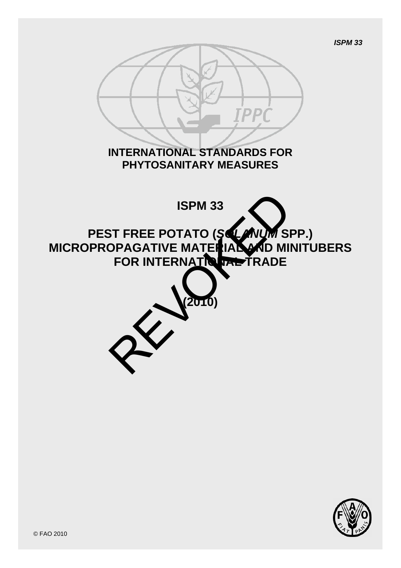

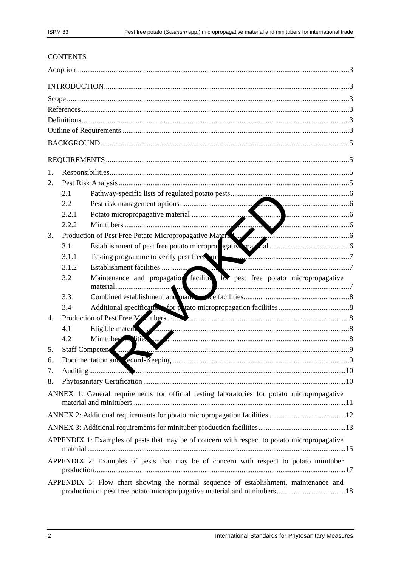# **CONTENTS**

| 1.                                                                                    |                                                                                             |                                                                                                                      |  |  |  |  |  |  |
|---------------------------------------------------------------------------------------|---------------------------------------------------------------------------------------------|----------------------------------------------------------------------------------------------------------------------|--|--|--|--|--|--|
| 2.                                                                                    |                                                                                             |                                                                                                                      |  |  |  |  |  |  |
|                                                                                       | 2.1                                                                                         |                                                                                                                      |  |  |  |  |  |  |
|                                                                                       | 2.2                                                                                         |                                                                                                                      |  |  |  |  |  |  |
|                                                                                       | 2.2.1                                                                                       |                                                                                                                      |  |  |  |  |  |  |
|                                                                                       | 2.2.2                                                                                       |                                                                                                                      |  |  |  |  |  |  |
| 3.                                                                                    |                                                                                             | Production of Pest Free Potato Micropropagative Material                                                             |  |  |  |  |  |  |
|                                                                                       | 3.1                                                                                         |                                                                                                                      |  |  |  |  |  |  |
|                                                                                       | 3.1.1                                                                                       | Testing programme to verify pest freedom.                                                                            |  |  |  |  |  |  |
|                                                                                       | 3.1.2                                                                                       |                                                                                                                      |  |  |  |  |  |  |
|                                                                                       | 3.2                                                                                         | Maintenance and propagation facility for pest free potato micropropagative                                           |  |  |  |  |  |  |
|                                                                                       |                                                                                             | . 1                                                                                                                  |  |  |  |  |  |  |
|                                                                                       | 3.3                                                                                         |                                                                                                                      |  |  |  |  |  |  |
|                                                                                       | 3.4                                                                                         |                                                                                                                      |  |  |  |  |  |  |
| 4.                                                                                    |                                                                                             | Production of Pest Free Millitaneous manuscripture of Pest Free Millitaneous manuscripture of Pest Free Millitaneous |  |  |  |  |  |  |
|                                                                                       | 4.1                                                                                         | Eligible materia                                                                                                     |  |  |  |  |  |  |
|                                                                                       | 4.2                                                                                         | Minituber as lities                                                                                                  |  |  |  |  |  |  |
| 5.                                                                                    |                                                                                             | Staff Competen                                                                                                       |  |  |  |  |  |  |
| 6.                                                                                    |                                                                                             |                                                                                                                      |  |  |  |  |  |  |
| 7.                                                                                    |                                                                                             |                                                                                                                      |  |  |  |  |  |  |
| 8.                                                                                    |                                                                                             |                                                                                                                      |  |  |  |  |  |  |
|                                                                                       | ANNEX 1: General requirements for official testing laboratories for potato micropropagative |                                                                                                                      |  |  |  |  |  |  |
|                                                                                       |                                                                                             |                                                                                                                      |  |  |  |  |  |  |
|                                                                                       |                                                                                             |                                                                                                                      |  |  |  |  |  |  |
|                                                                                       |                                                                                             | APPENDIX 1: Examples of pests that may be of concern with respect to potato micropropagative                         |  |  |  |  |  |  |
| APPENDIX 2: Examples of pests that may be of concern with respect to potato minituber |                                                                                             |                                                                                                                      |  |  |  |  |  |  |
|                                                                                       |                                                                                             | APPENDIX 3: Flow chart showing the normal sequence of establishment, maintenance and                                 |  |  |  |  |  |  |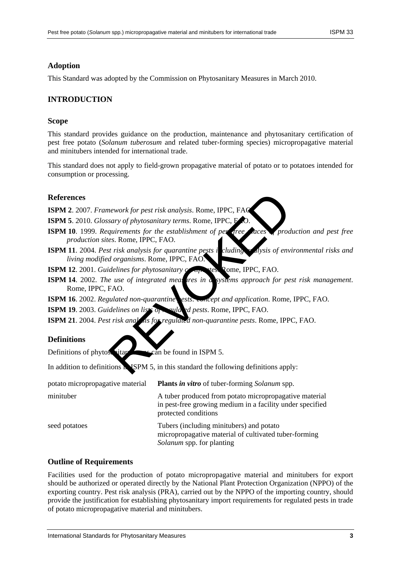# <span id="page-2-0"></span>**Adoption**

This Standard was adopted by the Commission on Phytosanitary Measures in March 2010.

# <span id="page-2-1"></span>**INTRODUCTION**

### <span id="page-2-2"></span>**Scope**

This standard provides guidance on the production, maintenance and phytosanitary certification of pest free potato (*Solanum tuberosum* and related tuber-forming species) micropropagative material and minitubers intended for international trade.

This standard does not apply to field-grown propagative material of potato or to potatoes intended for consumption or processing.

### **References**

**ISPM 2**. 2007. *Framework for pest risk analysis*. Rome, IPPC, FAO.

**ISPM 5**. 2010. *Glossary of phytosanitary terms*. Rome, IPPC, E

- **ISPM 10**. 1999. *Requirements for the establishment of pest free production and pest free production sites*. Rome, IPPC, FAO.
- **ISPM 11**. 2004. *Pest risk analysis for quarantine pests including analysis of environmental risks and living modified organisms*. Rome, IPPC, FAO.
- **ISPM 12.** 2001. *Guidelines for phytosanitary certificates.* Rome, IPPC, FAO.
- <span id="page-2-3"></span>**ISPM 14.** 2002. *The use of integrated measures in a systems approach for pest risk management.* Rome, IPPC, FAO. Rework for pest risk analysis. Rome, IPPC, FAC<br>
sary of phytosanitary terms. Rome, IPPC, FAC<br>
quirements for the establishment of perfect ances<br>
sex Rome, IPPC, FAO.<br>
trisk analysis for quarantine pests in cluding<br>
dorgani
- **ISPM 16**. 2002. *Regulated non-quarantine pests: concept and application*. Rome, IPPC, FAO.
- **ISPM 19**. 2003. *Guidelines on lists of regulated pests*. Rome, IPPC, FAO.
- **ISPM 21**. 2004. *Pest risk analysis for regulated non-quarantine pests*. Rome, IPPC, FAO.

## <span id="page-2-4"></span>**Definitions**

Definitions of phytosanitary terms can be found in ISPM 5.

In addition to definitions in ISPM 5, in this standard the following definitions apply:

| potato micropropagative material | <b>Plants in vitro</b> of tuber-forming <i>Solanum</i> spp.                                                                                 |
|----------------------------------|---------------------------------------------------------------------------------------------------------------------------------------------|
| minituber                        | A tuber produced from potato micropropagative material<br>in pest-free growing medium in a facility under specified<br>protected conditions |
| seed potatoes                    | Tubers (including minitubers) and potato<br>micropropagative material of cultivated tuber-forming<br>Solanum spp. for planting              |

## <span id="page-2-5"></span>**Outline of Requirements**

Facilities used for the production of potato micropropagative material and minitubers for export should be authorized or operated directly by the National Plant Protection Organization (NPPO) of the exporting country. Pest risk analysis (PRA), carried out by the NPPO of the importing country, should provide the justification for establishing phytosanitary import requirements for regulated pests in trade of potato micropropagative material and minitubers.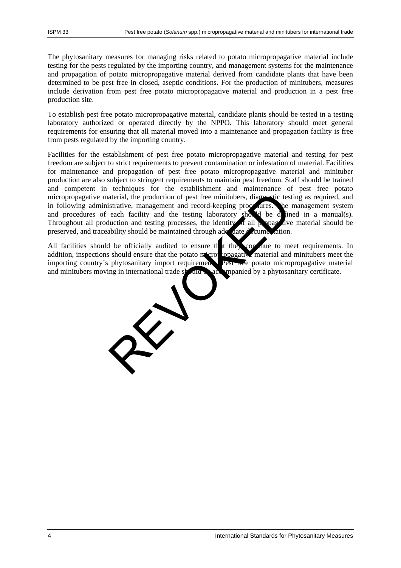The phytosanitary measures for managing risks related to potato micropropagative material include testing for the pests regulated by the importing country, and management systems for the maintenance and propagation of potato micropropagative material derived from candidate plants that have been determined to be pest free in closed, aseptic conditions. For the production of minitubers, measures include derivation from pest free potato micropropagative material and production in a pest free production site.

To establish pest free potato micropropagative material, candidate plants should be tested in a testing laboratory authorized or operated directly by the NPPO. This laboratory should meet general requirements for ensuring that all material moved into a maintenance and propagation facility is free from pests regulated by the importing country.

Facilities for the establishment of pest free potato micropropagative material and testing for pest freedom are subject to strict requirements to prevent contamination or infestation of material. Facilities for maintenance and propagation of pest free potato micropropagative material and minituber production are also subject to stringent requirements to maintain pest freedom. Staff should be trained and competent in techniques for the establishment and maintenance of pest free potato micropropagative material, the production of pest free minitubers, diagnostic testing as required, and in following administrative, management and record-keeping procedures. The management system and procedures of each facility and the testing laboratory should be defined in a manual(s). Throughout all production and testing processes, the identity of all propagative material should be preserved, and traceability should be maintained through adequate documentation.

All facilities should be officially audited to ensure the they continue to meet requirements. In addition, inspections should ensure that the potato micropropagative material and minitubers meet the importing country's phytosanitary import requirement. Pest free potato micropropagative material and minitubers moving in international trade should be accompanied by a phytosanitary certificate.

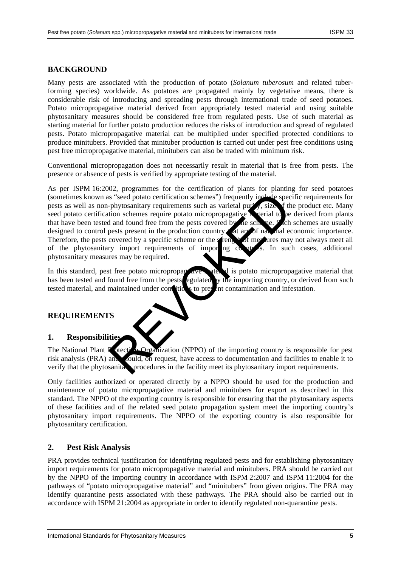# <span id="page-4-0"></span>**BACKGROUND**

Many pests are associated with the production of potato (*Solanum tuberosum* and related tuberforming species) worldwide. As potatoes are propagated mainly by vegetative means, there is considerable risk of introducing and spreading pests through international trade of seed potatoes. Potato micropropagative material derived from appropriately tested material and using suitable phytosanitary measures should be considered free from regulated pests. Use of such material as starting material for further potato production reduces the risks of introduction and spread of regulated pests. Potato micropropagative material can be multiplied under specified protected conditions to produce minitubers. Provided that minituber production is carried out under pest free conditions using pest free micropropagative material, minitubers can also be traded with minimum risk.

Conventional micropropagation does not necessarily result in material that is free from pests. The presence or absence of pests is verified by appropriate testing of the material.

As per ISPM 16:2002, programmes for the certification of plants for planting for seed potatoes (sometimes known as "seed potato certification schemes") frequently include specific requirements for pests as well as non-phytosanitary requirements such as varietal purity, size of the product etc. Many seed potato certification schemes require potato micropropagative  $\bf{h}$  terial to be derived from plants that have been tested and found free from the pests covered by the scheme. Such schemes are usually designed to control pests present in the production country that are of national economic importance. Therefore, the pests covered by a specific scheme or the strength of measures may not always meet all of the phytosanitary import requirements of importing countries. In such cases, additional phytosanitary measures may be required. Second to certification schemes") frequently include spectrom-<br>
The phytosanitary requirements such as varietal pure , size of the<br>
and found free from the pests covered by the self use.<br>
A and found free from the pests co

In this standard, pest free potato micropropagative material is potato micropropagative material that has been tested and found free from the pests egulated y the importing country, or derived from such tested material, and maintained under conditions to prevent contamination and infestation.

### <span id="page-4-1"></span>**REQUIREMENTS**

### <span id="page-4-2"></span>**1. Responsibilities**

The National Plant **F** otection Organization (NPPO) of the importing country is responsible for pest risk analysis (PRA) and should, on request, have access to documentation and facilities to enable it to verify that the phytosanitary procedures in the facility meet its phytosanitary import requirements.

Only facilities authorized or operated directly by a NPPO should be used for the production and maintenance of potato micropropagative material and minitubers for export as described in this standard. The NPPO of the exporting country is responsible for ensuring that the phytosanitary aspects of these facilities and of the related seed potato propagation system meet the importing country's phytosanitary import requirements. The NPPO of the exporting country is also responsible for phytosanitary certification.

### <span id="page-4-3"></span>**2. Pest Risk Analysis**

PRA provides technical justification for identifying regulated pests and for establishing phytosanitary import requirements for potato micropropagative material and minitubers. PRA should be carried out by the NPPO of the importing country in accordance with ISPM 2:2007 and ISPM 11:2004 for the pathways of "potato micropropagative material" and "minitubers" from given origins. The PRA may identify quarantine pests associated with these pathways. The PRA should also be carried out in accordance with ISPM 21:2004 as appropriate in order to identify regulated non-quarantine pests.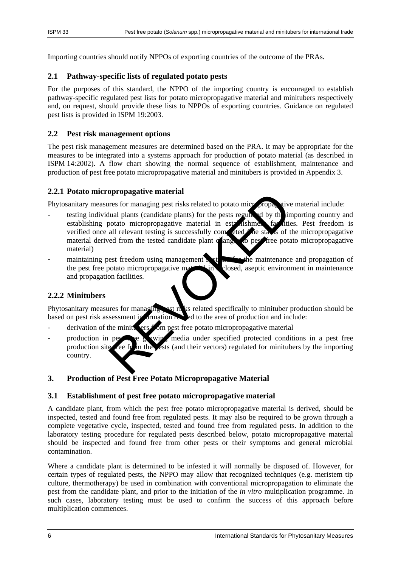Importing countries should notify NPPOs of exporting countries of the outcome of the PRAs.

# <span id="page-5-0"></span>**2.1 Pathway-specific lists of regulated potato pests**

For the purposes of this standard, the NPPO of the importing country is encouraged to establish pathway-specific regulated pest lists for potato micropropagative material and minitubers respectively and, on request, should provide these lists to NPPOs of exporting countries. Guidance on regulated pest lists is provided in ISPM 19:2003.

# <span id="page-5-1"></span>**2.2 Pest risk management options**

The pest risk management measures are determined based on the PRA. It may be appropriate for the measures to be integrated into a systems approach for production of potato material (as described in ISPM 14:2002). A flow chart showing the normal sequence of establishment, maintenance and production of pest free potato micropropagative material and minitubers is provided in Appendix 3.

# <span id="page-5-2"></span>**2.2.1 Potato micropropagative material**

Phytosanitary measures for managing pest risks related to potato micropropagative material include:

- testing individual plants (candidate plants) for the pests regulated by the importing country and establishing potato micropropagative material in establishment facilities. Pest freedom is verified once all relevant testing is successfully completed (the status of the micropropagative material derived from the tested candidate plant  $\alpha'$  anges to pest free potato micropropagative material) phropagative material<br>mes for managing pest risks related to potato micropropagative<br>lual plants (candidate plants) for the pests regular d by the<br>all relevant testing is successfully competed the states of t<br>all relevant
- maintaining pest freedom using management systems the maintenance and propagation of the pest free potato micropropagative material in a closed, aseptic environment in maintenance and propagation facilities.

## <span id="page-5-3"></span>**2.2.2 Minitubers**

Phytosanitary measures for managing pest risks related specifically to minituber production should be based on pest risk assessment in ormation  $\mathbf{R}$  del to the area of production and include:

- derivation of the minituders  $\epsilon$  om pest free potato micropropagative material
- production in pest see growing media under specified protected conditions in a pest free production site from the ests (and their vectors) regulated for minitubers by the importing country.

# <span id="page-5-4"></span>**3. Production of Pest Free Potato Micropropagative Material**

## <span id="page-5-5"></span>**3.1 Establishment of pest free potato micropropagative material**

A candidate plant, from which the pest free potato micropropagative material is derived, should be inspected, tested and found free from regulated pests. It may also be required to be grown through a complete vegetative cycle, inspected, tested and found free from regulated pests. In addition to the laboratory testing procedure for regulated pests described below, potato micropropagative material should be inspected and found free from other pests or their symptoms and general microbial contamination.

Where a candidate plant is determined to be infested it will normally be disposed of. However, for certain types of regulated pests, the NPPO may allow that recognized techniques (e.g. meristem tip culture, thermotherapy) be used in combination with conventional micropropagation to eliminate the pest from the candidate plant, and prior to the initiation of the *in vitro* multiplication programme. In such cases, laboratory testing must be used to confirm the success of this approach before multiplication commences.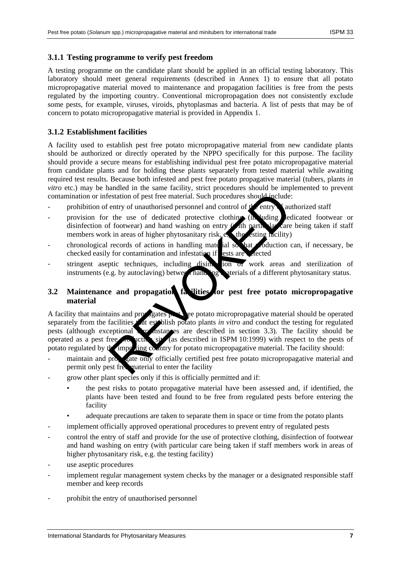### <span id="page-6-0"></span>**3.1.1 Testing programme to verify pest freedom**

A testing programme on the candidate plant should be applied in an official testing laboratory. This laboratory should meet general requirements (described in Annex 1) to ensure that all potato micropropagative material moved to maintenance and propagation facilities is free from the pests regulated by the importing country. Conventional micropropagation does not consistently exclude some pests, for example, viruses, viroids, phytoplasmas and bacteria. A list of pests that may be of concern to potato micropropagative material is provided in Appendix 1.

# <span id="page-6-1"></span>**3.1.2 Establishment facilities**

A facility used to establish pest free potato micropropagative material from new candidate plants should be authorized or directly operated by the NPPO specifically for this purpose. The facility should provide a secure means for establishing individual pest free potato micropropagative material from candidate plants and for holding these plants separately from tested material while awaiting required test results. Because both infested and pest free potato propagative material (tubers, plants *in vitro* etc.) may be handled in the same facility, strict procedures should be implemented to prevent contamination or infestation of pest free material. Such procedures should include:

- prohibition of entry of unauthorised personnel and control of  $\mathfrak{p}^{\prime}$  entry  $\mathfrak{p}^{\prime}$  cauthorized staff
- provision for the use of dedicated protective clothing (in luding edicated footwear or disinfection of footwear) and hand washing on entry  $\mathcal{L}$  th particular care being taken if staff members work in areas of higher phytosanitary risk, e.g. the esting facility)
- chronological records of actions in handling material so that production can, if necessary, be checked easily for contamination and infestation if ests are viected
- stringent aseptic techniques, including disinguishing ion of work areas and sterilization of instruments (e.g. by autoclaving) between handling materials of a different phytosanitary status.

# <span id="page-6-2"></span>**3.2 Maintenance and propagation facilities for pest free potato micropropagative material**

A facility that maintains and propagates pest  $\chi$  ge potato micropropagative material should be operated separately from the facilities that establish potato plants *in vitro* and conduct the testing for regulated pests (although exceptional  $\infty$  instances are described in section 3.3). The facility should be operated as a pest free  $\sim$  uction site (as described in ISPM 10:1999) with respect to the pests of potato regulated by the importing country for potato micropropagative material. The facility should: estation of pest free material. Such procedures should include<br>entry of unauthorised personnel and control of the entry<br>the use of dedicated protective clothing (in uding<br>f footwear) and hand washing on entry (in uding lea

- maintain and propagate only officially certified pest free potato micropropagative material and permit only pest free material to enter the facility
- grow other plant species only if this is officially permitted and if:
	- the pest risks to potato propagative material have been assessed and, if identified, the plants have been tested and found to be free from regulated pests before entering the facility
	- adequate precautions are taken to separate them in space or time from the potato plants
- implement officially approved operational procedures to prevent entry of regulated pests
- control the entry of staff and provide for the use of protective clothing, disinfection of footwear and hand washing on entry (with particular care being taken if staff members work in areas of higher phytosanitary risk, e.g. the testing facility)
- use aseptic procedures
- implement regular management system checks by the manager or a designated responsible staff member and keep records
- prohibit the entry of unauthorised personnel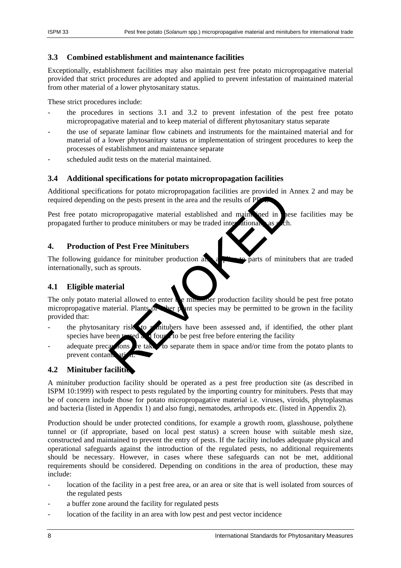## <span id="page-7-0"></span>**3.3 Combined establishment and maintenance facilities**

Exceptionally, establishment facilities may also maintain pest free potato micropropagative material provided that strict procedures are adopted and applied to prevent infestation of maintained material from other material of a lower phytosanitary status.

These strict procedures include:

- the procedures in sections 3.1 and 3.2 to prevent infestation of the pest free potato micropropagative material and to keep material of different phytosanitary status separate
- the use of separate laminar flow cabinets and instruments for the maintained material and for material of a lower phytosanitary status or implementation of stringent procedures to keep the processes of establishment and maintenance separate
- scheduled audit tests on the material maintained.

# <span id="page-7-1"></span>**3.4 Additional specifications for potato micropropagation facilities**

Additional specifications for potato micropropagation facilities are provided in Annex 2 and may be required depending on the pests present in the area and the results of P.

Pest free potato micropropagative material established and maintained in these facilities may be propagated further to produce minitubers or may be traded inter-

# <span id="page-7-2"></span>**4. Production of Pest Free Minitubers**

The following guidance for minituber production also applies to parts of minitubers that are traded internationally, such as sprouts.

# <span id="page-7-3"></span>**4.1 Eligible material**

The only potato material allowed to enter  $\mathbf{r}$  e minimum production facility should be pest free potato micropropagative material. Plants of their plant species may be permitted to be grown in the facility provided that: The partial and the partial established and maintenancy of the provided in the pest present in the area and the results of PP<br>and the pest present in the area and the results of PP<br>and produce minitubers or may be traded i

- the phytosanitary risk to minitubers have been assessed and, if identified, the other plant species have been tested and four to be pest free before entering the facility
- adequate precautions are taken to separate them in space and/or time from the potato plants to prevent contami

# <span id="page-7-4"></span>**4.2 Minituber facilities**

A minituber production facility should be operated as a pest free production site (as described in ISPM 10:1999) with respect to pests regulated by the importing country for minitubers. Pests that may be of concern include those for potato micropropagative material i.e. viruses, viroids, phytoplasmas and bacteria (listed in Appendix 1) and also fungi, nematodes, arthropods etc. (listed in Appendix 2).

Production should be under protected conditions, for example a growth room, glasshouse, polythene tunnel or (if appropriate, based on local pest status) a screen house with suitable mesh size, constructed and maintained to prevent the entry of pests. If the facility includes adequate physical and operational safeguards against the introduction of the regulated pests, no additional requirements should be necessary. However, in cases where these safeguards can not be met, additional requirements should be considered. Depending on conditions in the area of production, these may include:

- location of the facility in a pest free area, or an area or site that is well isolated from sources of the regulated pests
- a buffer zone around the facility for regulated pests
- location of the facility in an area with low pest and pest vector incidence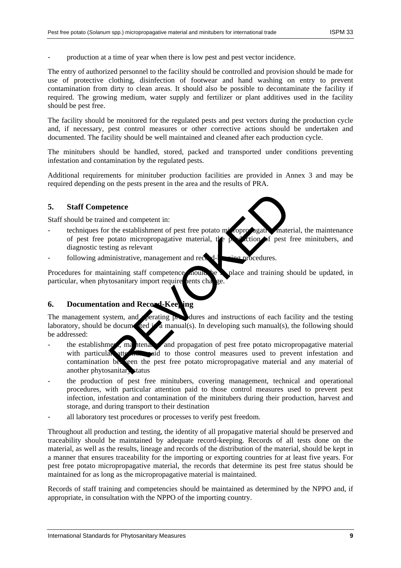production at a time of year when there is low pest and pest vector incidence.

The entry of authorized personnel to the facility should be controlled and provision should be made for use of protective clothing, disinfection of footwear and hand washing on entry to prevent contamination from dirty to clean areas. It should also be possible to decontaminate the facility if required. The growing medium, water supply and fertilizer or plant additives used in the facility should be pest free.

The facility should be monitored for the regulated pests and pest vectors during the production cycle and, if necessary, pest control measures or other corrective actions should be undertaken and documented. The facility should be well maintained and cleaned after each production cycle.

The minitubers should be handled, stored, packed and transported under conditions preventing infestation and contamination by the regulated pests.

Additional requirements for minituber production facilities are provided in Annex 3 and may be required depending on the pests present in the area and the results of PRA.

### <span id="page-8-0"></span>**5. Staff Competence**

Staff should be trained and competent in:

- techniques for the establishment of pest free potato micropropagative material, the maintenance of pest free potato micropropagative material, the production of pest free minitubers, and diagnostic testing as relevant
- following administrative, management and record- $k$ -keeping procedures.

Procedures for maintaining staff competence nould be place and training should be updated, in particular, when phytosanitary import requirements change.

## <span id="page-8-1"></span>**6. Documentation and Record-Keeping**

The management system, and **perating procedures** and instructions of each facility and the testing laboratory, should be documented in a manual(s). In developing such manual(s), the following should be addressed:

- the establishment, matterial and propagation of pest free potato micropropagative material with particular attention paid to those control measures used to prevent infestation and contamination between the pest free potato micropropagative material and any material of another phytosanitary status Exercise de and competent in:<br>
the establishment of pest free potato micoprologial material the potato micropropagative material, the position of pest fing as relevant<br>
imistrative, management and records to the police and
- the production of pest free minitubers, covering management, technical and operational procedures, with particular attention paid to those control measures used to prevent pest infection, infestation and contamination of the minitubers during their production, harvest and storage, and during transport to their destination
- all laboratory test procedures or processes to verify pest freedom.

Throughout all production and testing, the identity of all propagative material should be preserved and traceability should be maintained by adequate record-keeping. Records of all tests done on the material, as well as the results, lineage and records of the distribution of the material, should be kept in a manner that ensures traceability for the importing or exporting countries for at least five years. For pest free potato micropropagative material, the records that determine its pest free status should be maintained for as long as the micropropagative material is maintained.

Records of staff training and competencies should be maintained as determined by the NPPO and, if appropriate, in consultation with the NPPO of the importing country.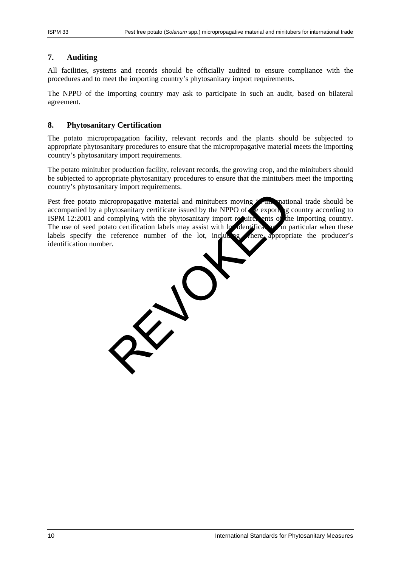## <span id="page-9-0"></span>**7. Auditing**

All facilities, systems and records should be officially audited to ensure compliance with the procedures and to meet the importing country's phytosanitary import requirements.

The NPPO of the importing country may ask to participate in such an audit, based on bilateral agreement.

### <span id="page-9-1"></span>**8. Phytosanitary Certification**

The potato micropropagation facility, relevant records and the plants should be subjected to appropriate phytosanitary procedures to ensure that the micropropagative material meets the importing country's phytosanitary import requirements.

The potato minituber production facility, relevant records, the growing crop, and the minitubers should be subjected to appropriate phytosanitary procedures to ensure that the minitubers meet the importing country's phytosanitary import requirements.

Pest free potato micropropagative material and minitubers moving  $\frac{1}{2}$  in mational trade should be accompanied by a phytosanitary certificate issued by the NPPO of  $\epsilon$  exporting country according to ISPM 12:2001 and complying with the phytosanitary import requirements of the importing country. The use of seed potato certification labels may assist with lot dentification, in particular when these labels specify the reference number of the lot, including propriate the producer's labels specify the reference number of the lot, including identification number.

 $\hat{\chi}$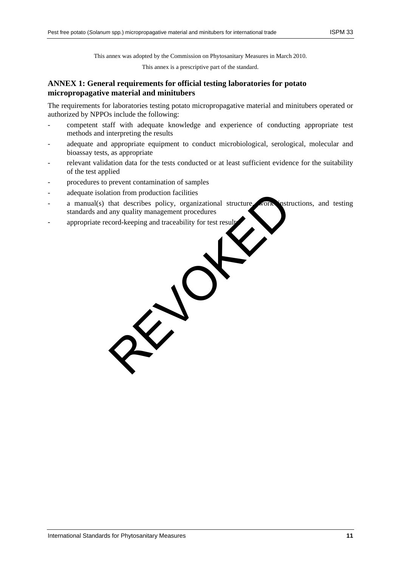This annex was adopted by the Commission on Phytosanitary Measures in March 2010.

This annex is a prescriptive part of the standard.

## <span id="page-10-0"></span>**ANNEX 1: General requirements for official testing laboratories for potato micropropagative material and minitubers**

The requirements for laboratories testing potato micropropagative material and minitubers operated or authorized by NPPOs include the following:

- competent staff with adequate knowledge and experience of conducting appropriate test methods and interpreting the results
- adequate and appropriate equipment to conduct microbiological, serological, molecular and bioassay tests, as appropriate
- relevant validation data for the tests conducted or at least sufficient evidence for the suitability of the test applied
- procedures to prevent contamination of samples
- adequate isolation from production facilities
- a manual(s) that describes policy, organizational structure, work instructions, and testing standards and any quality management procedures
- appropriate record-keeping and traceability for test result

REV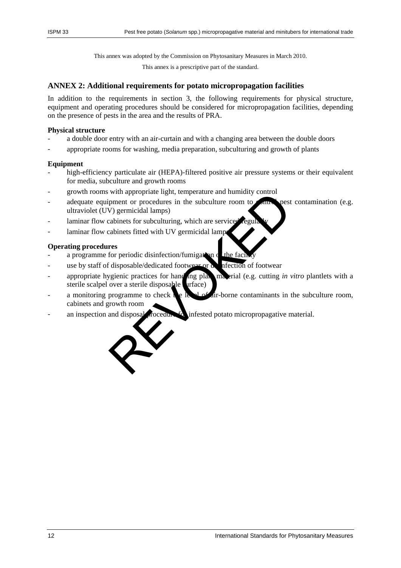This annex was adopted by the Commission on Phytosanitary Measures in March 2010.

This annex is a prescriptive part of the standard.

#### <span id="page-11-0"></span>**ANNEX 2: Additional requirements for potato micropropagation facilities**

In addition to the requirements in section 3, the following requirements for physical structure, equipment and operating procedures should be considered for micropropagation facilities, depending on the presence of pests in the area and the results of PRA.

#### **Physical structure**

- a double door entry with an air-curtain and with a changing area between the double doors
- appropriate rooms for washing, media preparation, subculturing and growth of plants

#### **Equipment**

- high-efficiency particulate air (HEPA)-filtered positive air pressure systems or their equivalent for media, subculture and growth rooms
- growth rooms with appropriate light, temperature and humidity control
- adequate equipment or procedures in the subculture room to  $\epsilon$  number of contamination (e.g. ultraviolet (UV) germicidal lamps)
- laminar flow cabinets for subculturing, which are service
- laminar flow cabinets fitted with UV germicidal lamp

#### **Operating procedures**

- a programme for periodic disinfection/fumigation  $\sigma$  the facility
- use by staff of disposable/dedicated footwear or dispersion of footwear
- appropriate hygienic practices for hand ing plant material (e.g. cutting *in vitro* plantlets with a sterile scalpel over a sterile disposable urface)
- a monitoring programme to check the level of air-borne contaminants in the subculture room, cabinets and growth room
- an inspection and disposal rocedure  $f_{\alpha}$  infested potato micropropagative material.

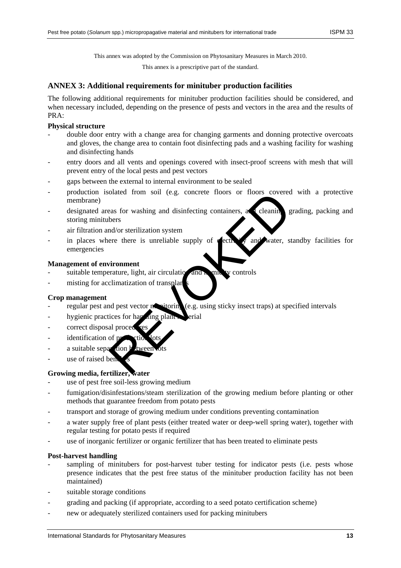This annex was adopted by the Commission on Phytosanitary Measures in March 2010.

This annex is a prescriptive part of the standard.

### <span id="page-12-0"></span>**ANNEX 3: Additional requirements for minituber production facilities**

The following additional requirements for minituber production facilities should be considered, and when necessary included, depending on the presence of pests and vectors in the area and the results of PRA:

### **Physical structure**

- double door entry with a change area for changing garments and donning protective overcoats and gloves, the change area to contain foot disinfecting pads and a washing facility for washing and disinfecting hands
- entry doors and all vents and openings covered with insect-proof screens with mesh that will prevent entry of the local pests and pest vectors
- gaps between the external to internal environment to be sealed
- production isolated from soil (e.g. concrete floors or floors covered with a protective membrane)
- designated areas for washing and disinfecting containers, and cleaning grading, packing and storing minitubers Formation of the text of the text of the text of the text of the text of the text of the text of the text of the text of the text of the text of the text of the text of the text of the text of the text of the text of the t
- air filtration and/or sterilization system
- in places where there is unreliable supply of  $\epsilon$  ectricity and water, standby facilities for emergencies

### **Management of environment**

- suitable temperature, light, air circulation and humidity controls
- misting for acclimatization of transplants

### **Crop management**

- regular pest and pest vector  $\mathbf{r}$ , itering (e.g. using sticky insect traps) at specified intervals
- hygienic practices for handling plant  $\mathbf{r}$  erial
- correct disposal proce
- identification of p
- a suitable separation
- use of raised ben

# **Growing media, fertilizer, water**

- use of pest free soil-less growing medium
- fumigation/disinfestations/steam sterilization of the growing medium before planting or other methods that guarantee freedom from potato pests
- transport and storage of growing medium under conditions preventing contamination
- a water supply free of plant pests (either treated water or deep-well spring water), together with regular testing for potato pests if required
- use of inorganic fertilizer or organic fertilizer that has been treated to eliminate pests

### **Post-harvest handling**

- sampling of minitubers for post-harvest tuber testing for indicator pests (i.e. pests whose presence indicates that the pest free status of the minituber production facility has not been maintained)
- suitable storage conditions
- grading and packing (if appropriate, according to a seed potato certification scheme)
- new or adequately sterilized containers used for packing minitubers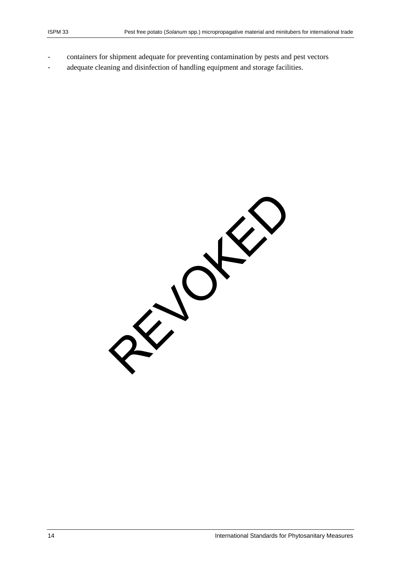- containers for shipment adequate for preventing contamination by pests and pest vectors
- adequate cleaning and disinfection of handling equipment and storage facilities.

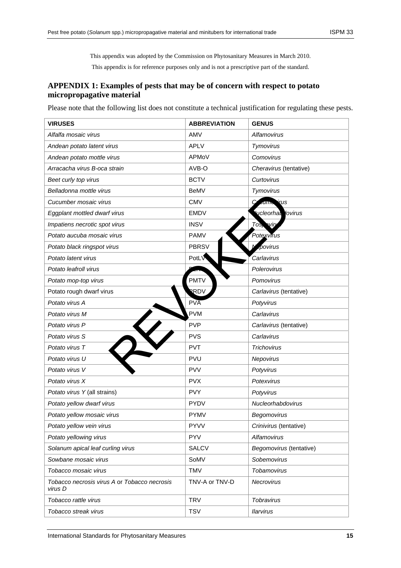This appendix was adopted by the Commission on Phytosanitary Measures in March 2010. This appendix is for reference purposes only and is not a prescriptive part of the standard.

# <span id="page-14-0"></span>**APPENDIX 1: Examples of pests that may be of concern with respect to potato micropropagative material**

Please note that the following list does not constitute a technical justification for regulating these pests.

| <b>VIRUSES</b>                                          | <b>ABBREVIATION</b> | <b>GENUS</b>                |
|---------------------------------------------------------|---------------------|-----------------------------|
| Alfalfa mosaic virus                                    | AMV                 | Alfamovirus                 |
| Andean potato latent virus                              | <b>APLV</b>         | Tymovirus                   |
| Andean potato mottle virus                              | APMoV               | Comovirus                   |
| Arracacha virus B-oca strain                            | AVB-O               | Cheravirus (tentative)      |
| Beet curly top virus                                    | <b>BCTV</b>         | Curtovirus                  |
| Belladonna mottle virus                                 | <b>BeMV</b>         | Tymovirus                   |
| Cucumber mosaic virus                                   | <b>CMV</b>          | <u>ir</u> us<br>allin       |
| Eggplant mottled dwarf virus                            | <b>EMDV</b>         | vcleorhal<br><b>lovirus</b> |
| Impatiens necrotic spot virus                           | <b>INSV</b>         | <b>aviry</b><br>Tos,        |
| Potato aucuba mosaic virus                              | <b>PAMV</b>         | Potexvirus                  |
| Potato black ringspot virus                             | <b>PBRSV</b>        | povirus                     |
| Potato latent virus                                     | PotLV               | Carlavirus                  |
| Potato leafroll virus                                   |                     | Polerovirus                 |
| Potato mop-top virus                                    | <b>PMTV</b>         | Pomovirus                   |
| Potato rough dwarf virus                                | RDV                 | Carlavirus (tentative)      |
| Potato virus A                                          | PVA                 | Potyvirus                   |
| Potato virus M                                          | <b>PVM</b>          | Carlavirus                  |
| Potato virus P                                          | <b>PVP</b>          | Carlavirus (tentative)      |
| Potato virus S                                          | <b>PVS</b>          | Carlavirus                  |
| Potato virus T                                          | <b>PVT</b>          | Trichovirus                 |
| Potato virus U                                          | <b>PVU</b>          | Nepovirus                   |
| Potato virus V                                          | <b>PVV</b>          | Potyvirus                   |
| Potato virus X                                          | <b>PVX</b>          | Potexvirus                  |
| Potato virus Y (all strains)                            | <b>PVY</b>          | Potyvirus                   |
| Potato yellow dwarf virus                               | <b>PYDV</b>         | Nucleorhabdovirus           |
| Potato yellow mosaic virus                              | <b>PYMV</b>         | Begomovirus                 |
| Potato yellow vein virus                                | <b>PYVV</b>         | Crinivirus (tentative)      |
| Potato yellowing virus                                  | <b>PYV</b>          | Alfamovirus                 |
| Solanum apical leaf curling virus                       | <b>SALCV</b>        | Begomovirus (tentative)     |
| Sowbane mosaic virus                                    | SoMV                | Sobemovirus                 |
| Tobacco mosaic virus                                    | <b>TMV</b>          | Tobamovirus                 |
| Tobacco necrosis virus A or Tobacco necrosis<br>virus D | TNV-A or TNV-D      | Necrovirus                  |
| Tobacco rattle virus                                    | <b>TRV</b>          | Tobravirus                  |
| Tobacco streak virus                                    | <b>TSV</b>          | <b>Ilarvirus</b>            |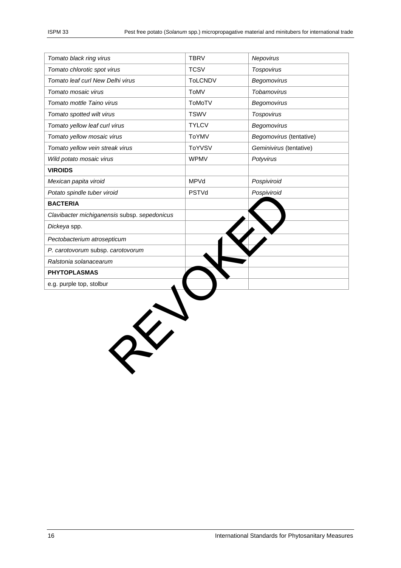| Tomato black ring virus                      | <b>TBRV</b>    | Nepovirus               |
|----------------------------------------------|----------------|-------------------------|
| Tomato chlorotic spot virus                  | <b>TCSV</b>    | <b>Tospovirus</b>       |
| Tomato leaf curl New Delhi virus             | <b>ToLCNDV</b> | Begomovirus             |
| Tomato mosaic virus                          | ToMV           | Tobamovirus             |
| Tomato mottle Taino virus                    | ToMoTV         | Begomovirus             |
| Tomato spotted wilt virus                    | <b>TSWV</b>    | <b>Tospovirus</b>       |
| Tomato yellow leaf curl virus                | <b>TYLCV</b>   | Begomovirus             |
| Tomato yellow mosaic virus                   | ToYMV          | Begomovirus (tentative) |
| Tomato yellow vein streak virus              | ToYVSV         | Geminivirus (tentative) |
| Wild potato mosaic virus                     | <b>WPMV</b>    | Potyvirus               |
| <b>VIROIDS</b>                               |                |                         |
| Mexican papita viroid                        | MPVd           | Pospiviroid             |
| Potato spindle tuber viroid                  | PSTVd          | Pospiviroid             |
| <b>BACTERIA</b>                              |                |                         |
| Clavibacter michiganensis subsp. sepedonicus |                |                         |
| Dickeya spp.                                 |                |                         |
| Pectobacterium atrosepticum                  |                |                         |
| P. carotovorum subsp. carotovorum            |                |                         |
| Ralstonia solanacearum                       |                |                         |
| <b>PHYTOPLASMAS</b>                          |                |                         |
| e.g. purple top, stolbur                     |                |                         |
| $\hat{\chi}$                                 |                |                         |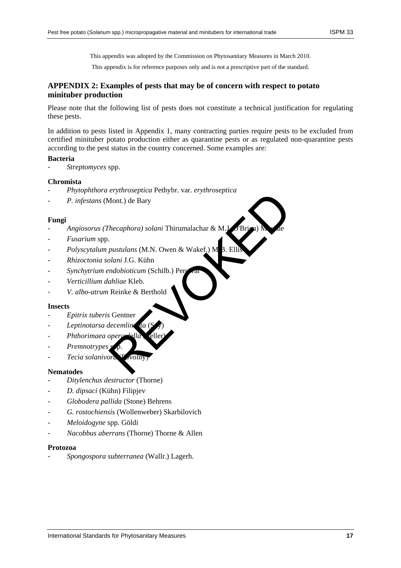This appendix was adopted by the Commission on Phytosanitary Measures in March 2010.

This appendix is for reference purposes only and is not a prescriptive part of the standard.

## <span id="page-16-0"></span>**APPENDIX 2: Examples of pests that may be of concern with respect to potato minituber production**

Please note that the following list of pests does not constitute a technical justification for regulating these pests.

In addition to pests listed in Appendix 1, many contracting parties require pests to be excluded from certified minituber potato production either as quarantine pests or as regulated non-quarantine pests according to the pest status in the country concerned. Some examples are:

#### **Bacteria**

- *Streptomyces* spp.

#### **Chromista**

- *Phytophthora erythroseptica* Pethybr. var. *erythroseptica*
- *P. infestans* (Mont.) de Bary

#### **Fungi**

- *Angiosorus (Thecaphora) solani* Thirumalachar & M.J. Mont.) de Bary<br>Mont.) de Bary<br>Decaphora) solani Thirumalachar & M.L. (Briga)<br>Depustulans (M.N. Owen & Wakef.) M B. Ellis<br>Depustulans (M.N. Owen & Wakef.) M B. Ellis<br>Deputy in Solar Section (Schilb.) Per<br>Reinke & Berthold<br>S
- *Fusarium* spp.
- Polyscytalum pustulans (M.N. Owen & Wakef.) M
- *Rhizoctonia solani* J.G. Kühn
- Synchytrium endobioticum (Schilb.) Per
- *Verticillium dahliae* Kleb.
- *V. albo-atrum* Reinke & Berthold

#### **Insects**

- *Epitrix tuberis* Gentner
- Leptinotarsa decemlin
- *Phthorimaea ope*
- $P$ *remnotrypes*
- *Tecia solanivora* (Povolny)

#### **Nematodes**

- *Ditylenchus destructor* (Thorne)
- *D. dipsaci* (Kühn) Filipjev
- *Globodera pallida* (Stone) Behrens
- *G. rostochiensis* (Wollenweber) Skarbilovich
- *Meloidogyne* spp. Göldi
- *Nacobbus aberrans* (Thorne) Thorne & Allen

#### **Protozoa**

- *Spongospora subterranea* (Wallr.) Lagerh.